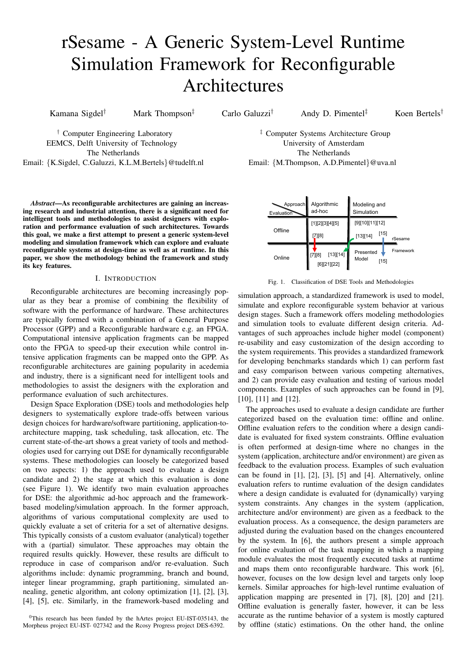# rSesame - A Generic System-Level Runtime Simulation Framework for Reconfigurable Architectures

Kamana Sigdel<sup>†</sup> Mark Thompson<sup>‡</sup> Carlo Galuzzi<sup>†</sup> Andy D. Pimentel<sup>‡</sup> Koen Bertels<sup>†</sup>

† Computer Engineering Laboratory EEMCS, Delft University of Technology The Netherlands Email: {K.Sigdel, C.Galuzzi, K.L.M.Bertels}@tudelft.nl

*Abstract*—As reconfigurable architectures are gaining an increasing research and industrial attention, there is a significant need for intelligent tools and methodologies to assist designers with exploration and performance evaluation of such architectures. Towards this goal, we make a first attempt to present a generic system-level modeling and simulation framework which can explore and evaluate reconfigurable systems at design-time as well as at runtime. In this paper, we show the methodology behind the framework and study its key features.

## I. INTRODUCTION

Reconfigurable architectures are becoming increasingly popular as they bear a promise of combining the flexibility of software with the performance of hardware. These architectures are typically formed with a combination of a General Purpose Processor (GPP) and a Reconfigurable hardware e.g. an FPGA. Computational intensive application fragments can be mapped onto the FPGA to speed-up their execution while control intensive application fragments can be mapped onto the GPP. As reconfigurable architectures are gaining popularity in acedemia and industry, there is a significant need for intelligent tools and methodologies to assist the designers with the exploration and performance evaluation of such architectures.

Design Space Exploration (DSE) tools and methodologies help designers to systematically explore trade-offs between various design choices for hardware/software partitioning, application-toarchitecture mapping, task scheduling, task allocation, etc. The current state-of-the-art shows a great variety of tools and methodologies used for carrying out DSE for dynamically reconfigurable systems. These methodologies can loosely be categorized based on two aspects: 1) the approach used to evaluate a design candidate and 2) the stage at which this evaluation is done (see Figure 1). We identify two main evaluation approaches for DSE: the algorithmic ad-hoc approach and the frameworkbased modeling/simulation approach. In the former approach, algorithms of various computational complexity are used to quickly evaluate a set of criteria for a set of alternative designs. This typically consists of a custom evaluator (analytical) together with a (partial) simulator. These approaches may obtain the required results quickly. However, these results are difficult to reproduce in case of comparison and/or re-evaluation. Such algorithms include: dynamic programming, branch and bound, integer linear programming, graph partitioning, simulated annealing, genetic algorithm, ant colony optimization [1], [2], [3], [4], [5], etc. Similarly, in the framework-based modeling and

<sup>0</sup>This research has been funded by the hArtes project EU-IST-035143, the Morpheus project EU-IST- 027342 and the Rcosy Progress project DES-6392.

‡ Computer Systems Architecture Group University of Amsterdam The Netherlands Email: {M.Thompson, A.D.Pimentel}@uva.nl



Fig. 1. Classification of DSE Tools and Methodologies

simulation approach, a standardized framework is used to model, simulate and explore reconfigurable system behavior at various design stages. Such a framework offers modeling methodologies and simulation tools to evaluate different design criteria. Advantages of such approaches include higher model (component) re-usability and easy customization of the design according to the system requirements. This provides a standardized framework for developing benchmarks standards which 1) can perform fast and easy comparison between various competing alternatives, and 2) can provide easy evaluation and testing of various model components. Examples of such approaches can be found in [9], [10], [11] and [12].

The approaches used to evaluate a design candidate are further categorized based on the evaluation time: offline and online. Offline evaluation refers to the condition where a design candidate is evaluated for fixed system constraints. Offline evaluation is often performed at design-time where no changes in the system (application, architecture and/or environment) are given as feedback to the evaluation process. Examples of such evaluation can be found in [1], [2], [3], [5] and [4]. Alternatively, online evaluation refers to runtime evaluation of the design candidates where a design candidate is evaluated for (dynamically) varying system constraints. Any changes in the system (application, architecture and/or environment) are given as a feedback to the evaluation process. As a consequence, the design parameters are adjusted during the evaluation based on the changes encountered by the system. In [6], the authors present a simple approach for online evaluation of the task mapping in which a mapping module evaluates the most frequently executed tasks at runtime and maps them onto reconfigurable hardware. This work [6], however, focuses on the low design level and targets only loop kernels. Similar approaches for high-level runtime evaluation of application mapping are presented in [7], [8], [20] and [21]. Offline evaluation is generally faster, however, it can be less accurate as the runtime behavior of a system is mostly captured by offline (static) estimations. On the other hand, the online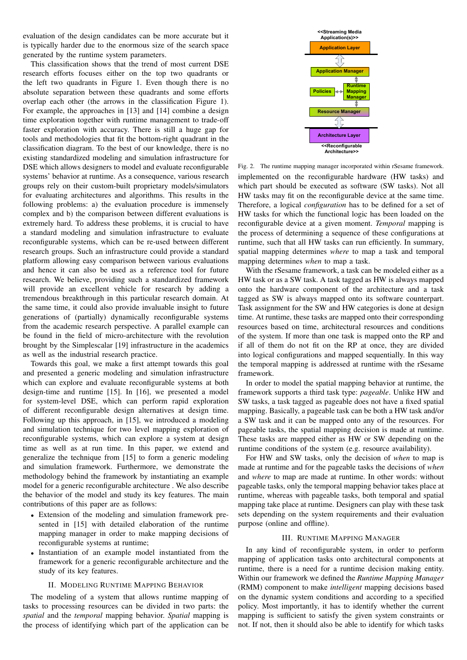evaluation of the design candidates can be more accurate but it is typically harder due to the enormous size of the search space generated by the runtime system parameters.

This classification shows that the trend of most current DSE research efforts focuses either on the top two quadrants or the left two quadrants in Figure 1. Even though there is no absolute separation between these quadrants and some efforts overlap each other (the arrows in the classification Figure 1). For example, the approaches in [13] and [14] combine a design time exploration together with runtime management to trade-off faster exploration with accuracy. There is still a huge gap for tools and methodologies that fit the bottom-right quadrant in the classification diagram. To the best of our knowledge, there is no existing standardized modeling and simulation infrastructure for DSE which allows designers to model and evaluate reconfigurable systems' behavior at runtime. As a consequence, various research groups rely on their custom-built proprietary models/simulators for evaluating architectures and algorithms. This results in the following problems: a) the evaluation procedure is immensely complex and b) the comparison between different evaluations is extremely hard. To address these problems, it is crucial to have a standard modeling and simulation infrastructure to evaluate reconfigurable systems, which can be re-used between different research groups. Such an infrastructure could provide a standard platform allowing easy comparison between various evaluations and hence it can also be used as a reference tool for future research. We believe, providing such a standardized framework will provide an excellent vehicle for research by adding a tremendous breakthrough in this particular research domain. At the same time, it could also provide invaluable insight to future generations of (partially) dynamically reconfigurable systems from the academic research perspective. A parallel example can be found in the field of micro-architecture with the revolution brought by the Simplescalar [19] infrastructure in the academics as well as the industrial research practice.

Towards this goal, we make a first attempt towards this goal and presented a generic modeling and simulation infrastructure which can explore and evaluate reconfigurable systems at both design-time and runtime [15]. In [16], we presented a model for system-level DSE, which can perform rapid exploration of different reconfigurable design alternatives at design time. Following up this approach, in [15], we introduced a modeling and simulation technique for two level mapping exploration of reconfigurable systems, which can explore a system at design time as well as at run time. In this paper, we extend and generalize the technique from [15] to form a generic modeling and simulation framework. Furthermore, we demonstrate the methodology behind the framework by instantiating an example model for a generic reconfigurable architecture . We also describe the behavior of the model and study its key features. The main contributions of this paper are as follows:

- Extension of the modeling and simulation framework presented in [15] with detailed elaboration of the runtime mapping manager in order to make mapping decisions of reconfigurable systems at runtime;
- Instantiation of an example model instantiated from the framework for a generic reconfigurable architecture and the study of its key features.

## II. MODELING RUNTIME MAPPING BEHAVIOR

The modeling of a system that allows runtime mapping of tasks to processing resources can be divided in two parts: the *spatial* and the *temporal* mapping behavior. *Spatial* mapping is the process of identifying which part of the application can be



Fig. 2. The runtime mapping manager incorporated within rSesame framework. implemented on the reconfigurable hardware (HW tasks) and which part should be executed as software (SW tasks). Not all HW tasks may fit on the reconfigurable device at the same time. Therefore, a logical *configuration* has to be defined for a set of HW tasks for which the functional logic has been loaded on the reconfigurable device at a given moment. *Temporal* mapping is the process of determining a sequence of these configurations at runtime, such that all HW tasks can run efficiently. In summary, spatial mapping determines *where* to map a task and temporal mapping determines *when* to map a task.

With the rSesame framework, a task can be modeled either as a HW task or as a SW task. A task tagged as HW is always mapped onto the hardware component of the architecture and a task tagged as SW is always mapped onto its software counterpart. Task assignment for the SW and HW categories is done at design time. At runtime, these tasks are mapped onto their corresponding resources based on time, architectural resources and conditions of the system. If more than one task is mapped onto the RP and if all of them do not fit on the RP at once, they are divided into logical configurations and mapped sequentially. In this way the temporal mapping is addressed at runtime with the rSesame framework.

In order to model the spatial mapping behavior at runtime, the framework supports a third task type: *pageable*. Unlike HW and SW tasks, a task tagged as pageable does not have a fixed spatial mapping. Basically, a pageable task can be both a HW task and/or a SW task and it can be mapped onto any of the resources. For pageable tasks, the spatial mapping decision is made at runtime. These tasks are mapped either as HW or SW depending on the runtime conditions of the system (e.g. resource availability).

For HW and SW tasks, only the decision of *when* to map is made at runtime and for the pageable tasks the decisions of *when* and *where* to map are made at runtime. In other words: without pageable tasks, only the temporal mapping behavior takes place at runtime, whereas with pageable tasks, both temporal and spatial mapping take place at runtime. Designers can play with these task sets depending on the system requirements and their evaluation purpose (online and offline).

#### III. RUNTIME MAPPING MANAGER

In any kind of reconfigurable system, in order to perform mapping of application tasks onto architectural components at runtime, there is a need for a runtime decision making entity. Within our framework we defined the *Runtime Mapping Manager* (RMM) component to make *intelligent* mapping decisions based on the dynamic system conditions and according to a specified policy. Most importantly, it has to identify whether the current mapping is sufficient to satisfy the given system constraints or not. If not, then it should also be able to identify for which tasks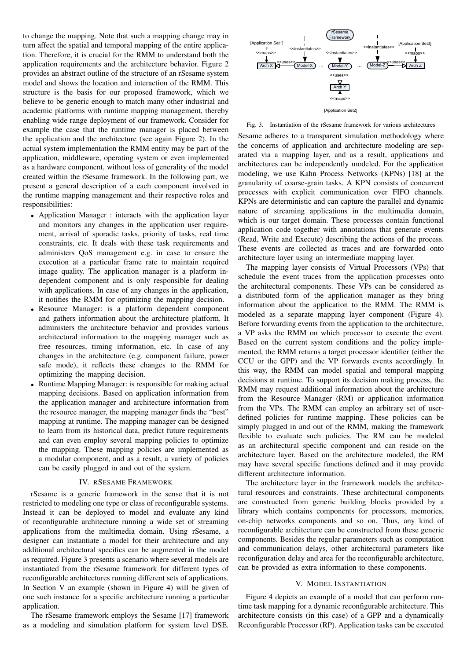to change the mapping. Note that such a mapping change may in turn affect the spatial and temporal mapping of the entire application. Therefore, it is crucial for the RMM to understand both the application requirements and the architecture behavior. Figure 2 provides an abstract outline of the structure of an rSesame system model and shows the location and interaction of the RMM. This structure is the basis for our proposed framework, which we believe to be generic enough to match many other industrial and academic platforms with runtime mapping management, thereby enabling wide range deployment of our framework. Consider for example the case that the runtime manager is placed between the application and the architecture (see again Figure 2). In the actual system implementation the RMM entity may be part of the application, middleware, operating system or even implemented as a hardware component, without loss of generality of the model created within the rSesame framework. In the following part, we present a general description of a each component involved in the runtime mapping management and their respective roles and responsibilities:

- Application Manager : interacts with the application layer and monitors any changes in the application user requirement, arrival of sporadic tasks, priority of tasks, real time constraints, etc. It deals with these task requirements and administers QoS management e.g. in case to ensure the execution at a particular frame rate to maintain required image quality. The application manager is a platform independent component and is only responsible for dealing with applications. In case of any changes in the application, it notifies the RMM for optimizing the mapping decision.
- Resource Manager: is a platform dependent component and gathers information about the architecture platform. It administers the architecture behavior and provides various architectural information to the mapping manager such as free resources, timing information, etc. In case of any changes in the architecture (e.g. component failure, power safe mode), it reflects these changes to the RMM for optimizing the mapping decision.
- Runtime Mapping Manager: is responsible for making actual mapping decisions. Based on application information from the application manager and architecture information from the resource manager, the mapping manager finds the "best" mapping at runtime. The mapping manager can be designed to learn from its historical data, predict future requirements and can even employ several mapping policies to optimize the mapping. These mapping policies are implemented as a modular component, and as a result, a variety of policies can be easily plugged in and out of the system.

#### IV. RSESAME FRAMEWORK

rSesame is a generic framework in the sense that it is not restricted to modeling one type or class of reconfigurable systems. Instead it can be deployed to model and evaluate any kind of reconfigurable architecture running a wide set of streaming applications from the multimedia domain. Using rSesame, a designer can instantiate a model for their architecture and any additional architectural specifics can be augmented in the model as required. Figure 3 presents a scenario where several models are instantiated from the rSesame framework for different types of reconfigurable architectures running different sets of applications. In Section V an example (shown in Figure 4) will be given of one such instance for a specific architecture running a particular application.

The rSesame framework employs the Sesame [17] framework as a modeling and simulation platform for system level DSE.



Fig. 3. Instantiation of the rSesame framework for various architectures

Sesame adheres to a transparent simulation methodology where the concerns of application and architecture modeling are separated via a mapping layer, and as a result, applications and architectures can be independently modeled. For the application modeling, we use Kahn Process Networks (KPNs) [18] at the granularity of coarse-grain tasks. A KPN consists of concurrent processes with explicit communication over FIFO channels. KPNs are deterministic and can capture the parallel and dynamic nature of streaming applications in the multimedia domain, which is our target domain. These processes contain functional application code together with annotations that generate events (Read, Write and Execute) describing the actions of the process. These events are collected as traces and are forwarded onto architecture layer using an intermediate mapping layer.

The mapping layer consists of Virtual Processors (VPs) that schedule the event traces from the application processes onto the architectural components. These VPs can be considered as a distributed form of the application manager as they bring information about the application to the RMM. The RMM is modeled as a separate mapping layer component (Figure 4). Before forwarding events from the application to the architecture, a VP asks the RMM on which processor to execute the event. Based on the current system conditions and the policy implemented, the RMM returns a target processor identifier (either the CCU or the GPP) and the VP forwards events accordingly. In this way, the RMM can model spatial and temporal mapping decisions at runtime. To support its decision making process, the RMM may request additional information about the architecture from the Resource Manager (RM) or application information from the VPs. The RMM can employ an arbitrary set of userdefined policies for runtime mapping. These policies can be simply plugged in and out of the RMM, making the framework flexible to evaluate such policies. The RM can be modeled as an architectural specific component and can reside on the architecture layer. Based on the architecture modeled, the RM may have several specific functions defined and it may provide different architecture information.

The architecture layer in the framework models the architectural resources and constraints. These architectural components are constructed from generic building blocks provided by a library which contains components for processors, memories, on-chip networks components and so on. Thus, any kind of reconfigurable architecture can be constructed from these generic components. Besides the regular parameters such as computation and communication delays, other architectural parameters like reconfiguration delay and area for the reconfigurable architecture, can be provided as extra information to these components.

### V. MODEL INSTANTIATION

Figure 4 depicts an example of a model that can perform runtime task mapping for a dynamic reconfigurable architecture. This architecture consists (in this case) of a GPP and a dynamically Reconfigurable Processor (RP). Application tasks can be executed